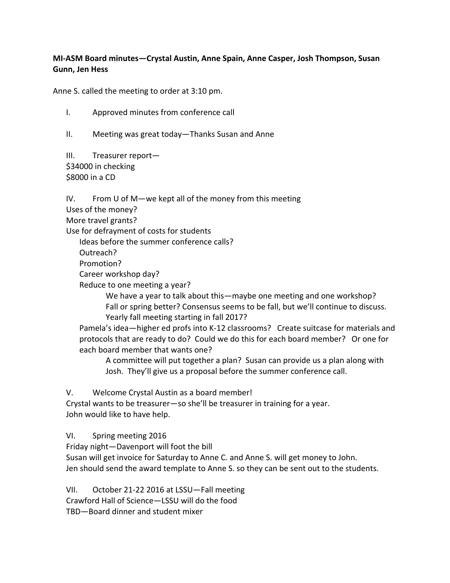## **MI‐ASM Board minutes—Crystal Austin, Anne Spain, Anne Casper, Josh Thompson, Susan Gunn, Jen Hess**

Anne S. called the meeting to order at 3:10 pm.

I. Approved minutes from conference call

II. Meeting was great today—Thanks Susan and Anne

III. Treasurer report— \$34000 in checking \$8000 in a CD

IV. From U of M—we kept all of the money from this meeting

Uses of the money?

More travel grants?

Use for defrayment of costs for students

Ideas before the summer conference calls?

Outreach?

Promotion?

Career workshop day?

Reduce to one meeting a year?

 We have a year to talk about this—maybe one meeting and one workshop? Fall or spring better? Consensus seems to be fall, but we'll continue to discuss. Yearly fall meeting starting in fall 2017?

Pamela's idea—higher ed profs into K‐12 classrooms? Create suitcase for materials and protocols that are ready to do? Could we do this for each board member? Or one for each board member that wants one?

A committee will put together a plan? Susan can provide us a plan along with Josh. They'll give us a proposal before the summer conference call.

V. Welcome Crystal Austin as a board member! Crystal wants to be treasurer—so she'll be treasurer in training for a year.

John would like to have help.

VI. Spring meeting 2016

Friday night—Davenport will foot the bill

Susan will get invoice for Saturday to Anne C. and Anne S. will get money to John. Jen should send the award template to Anne S. so they can be sent out to the students.

VII. October 21‐22 2016 at LSSU—Fall meeting Crawford Hall of Science—LSSU will do the food TBD—Board dinner and student mixer